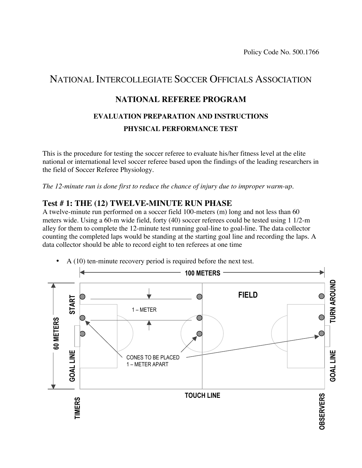Policy Code No. 500.1766

# NATIONAL INTERCOLLEGIATE SOCCER OFFICIALS ASSOCIATION

## **NATIONAL REFEREE PROGRAM**

# **EVALUATION PREPARATION AND INSTRUCTIONS PHYSICAL PERFORMANCE TEST**

This is the procedure for testing the soccer referee to evaluate his/her fitness level at the elite national or international level soccer referee based upon the findings of the leading researchers in the field of Soccer Referee Physiology.

*The 12-minute run is done first to reduce the chance of injury due to improper warm-up.*

#### **Test # 1: THE (12) TWELVE-MINUTE RUN PHASE**

A twelve-minute run performed on a soccer field 100-meters (m) long and not less than 60 meters wide. Using a 60-m wide field, forty (40) soccer referees could be tested using 1 1/2-m alley for them to complete the 12-minute test running goal-line to goal-line. The data collector counting the completed laps would be standing at the starting goal line and recording the laps. A data collector should be able to record eight to ten referees at one time



• A (10) ten-minute recovery period is required before the next test.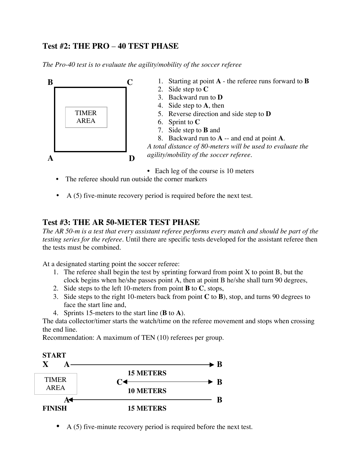### **Test #2: THE PRO** – **40 TEST PHASE**

*The Pro-40 test is to evaluate the agility/mobility of the soccer referee*



- Each leg of the course is 10 meters
- The referee should run outside the corner markers
- A (5) five-minute recovery period is required before the next test.

#### **Test #3: THE AR 50-METER TEST PHASE**

*The AR 50-m is a test that every assistant referee performs every match and should be part of the testing series for the referee.* Until there are specific tests developed for the assistant referee then the tests must be combined.

At a designated starting point the soccer referee:

- 1. The referee shall begin the test by sprinting forward from point  $X$  to point  $B$ , but the clock begins when he/she passes point A, then at point B he/she shall turn 90 degrees,
- 2. Side steps to the left 10-meters from point **B** to **C**, stops,
- 3. Side steps to the right 10-meters back from point **C** to **B**), stop, and turns 90 degrees to face the start line and,
- 4. Sprints 15-meters to the start line (**B** to **A**).

The data collector/timer starts the watch/time on the referee movement and stops when crossing the end line.

Recommendation: A maximum of TEN (10) referees per group.



• A (5) five-minute recovery period is required before the next test.